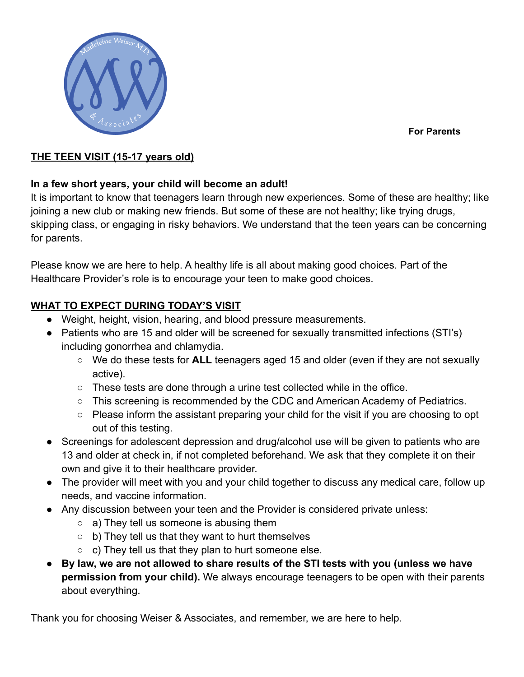**For Parents**



#### **THE TEEN VISIT (15-17 years old)**

#### **In a few short years, your child will become an adult!**

It is important to know that teenagers learn through new experiences. Some of these are healthy; like joining a new club or making new friends. But some of these are not healthy; like trying drugs, skipping class, or engaging in risky behaviors. We understand that the teen years can be concerning for parents.

Please know we are here to help. A healthy life is all about making good choices. Part of the Healthcare Provider's role is to encourage your teen to make good choices.

### **WHAT TO EXPECT DURING TODAY'S VISIT**

- Weight, height, vision, hearing, and blood pressure measurements.
- Patients who are 15 and older will be screened for sexually transmitted infections (STI's) including gonorrhea and chlamydia.
	- We do these tests for **ALL** teenagers aged 15 and older (even if they are not sexually active).
	- $\circ$  These tests are done through a urine test collected while in the office.
	- This screening is recommended by the CDC and American Academy of Pediatrics.
	- Please inform the assistant preparing your child for the visit if you are choosing to opt out of this testing.
- Screenings for adolescent depression and drug/alcohol use will be given to patients who are 13 and older at check in, if not completed beforehand. We ask that they complete it on their own and give it to their healthcare provider.
- The provider will meet with you and your child together to discuss any medical care, follow up needs, and vaccine information.
- Any discussion between your teen and the Provider is considered private unless:
	- $\circ$  a) They tell us someone is abusing them
	- $\circ$  b) They tell us that they want to hurt themselves
	- $\circ$  c) They tell us that they plan to hurt someone else.
- **By law, we are not allowed to share results of the STI tests with you (unless we have permission from your child).** We always encourage teenagers to be open with their parents about everything.

Thank you for choosing Weiser & Associates, and remember, we are here to help.